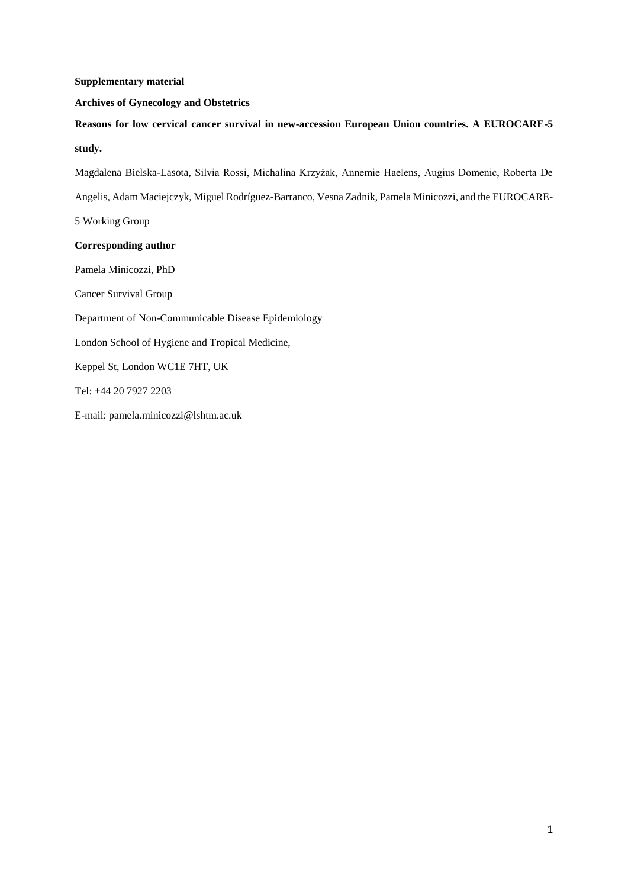## **Supplementary material**

## **Archives of Gynecology and Obstetrics**

**Reasons for low cervical cancer survival in new-accession European Union countries. A EUROCARE-5 study.** 

Magdalena Bielska-Lasota, Silvia Rossi, Michalina Krzyżak, Annemie Haelens, Augius Domenic, Roberta De Angelis, Adam Maciejczyk, Miguel Rodríguez-Barranco, Vesna Zadnik, Pamela Minicozzi, and the EUROCARE-5 Working Group **Corresponding author** Pamela Minicozzi, PhD

Cancer Survival Group

Department of Non-Communicable Disease Epidemiology

London School of Hygiene and Tropical Medicine,

Keppel St, London WC1E 7HT, UK

Tel: +44 20 7927 2203

E-mail: pamela.minicozzi@lshtm.ac.uk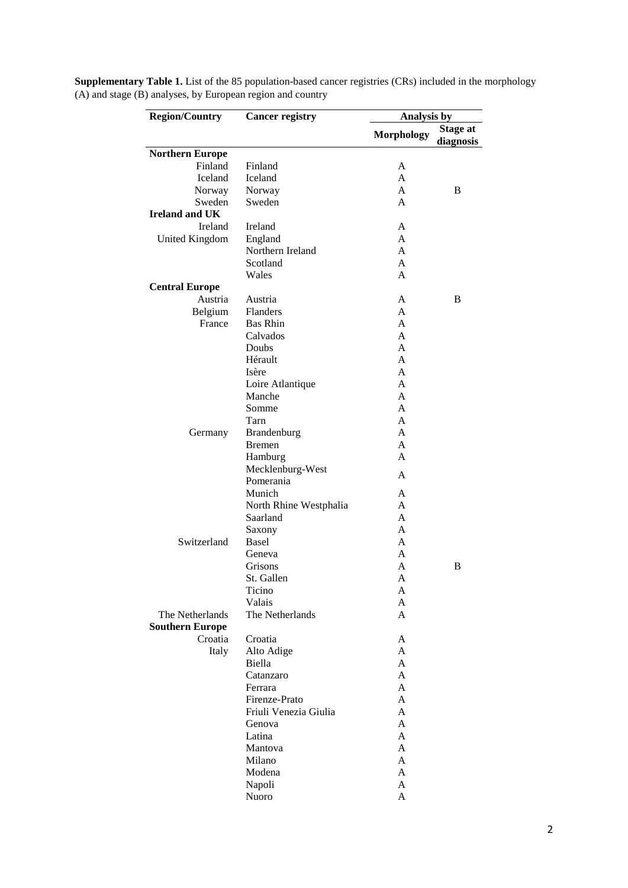| <b>Region/Country</b>  | <b>Cancer registry</b> |                   | Analysis by                  |  |  |  |  |
|------------------------|------------------------|-------------------|------------------------------|--|--|--|--|
|                        |                        | <b>Morphology</b> | <b>Stage at</b><br>diagnosis |  |  |  |  |
| <b>Northern Europe</b> |                        |                   |                              |  |  |  |  |
| Finland                | Finland                | A                 |                              |  |  |  |  |
| Iceland                | Iceland                | A                 |                              |  |  |  |  |
| Norway                 | Norway                 | A                 | B                            |  |  |  |  |
| Sweden                 | Sweden                 | A                 |                              |  |  |  |  |
| <b>Ireland and UK</b>  |                        |                   |                              |  |  |  |  |
| Ireland                | Ireland                | A                 |                              |  |  |  |  |
| United Kingdom         | England                | A                 |                              |  |  |  |  |
|                        | Northern Ireland       | A                 |                              |  |  |  |  |
|                        | Scotland               | A                 |                              |  |  |  |  |
|                        | Wales                  | A                 |                              |  |  |  |  |
| <b>Central Europe</b>  |                        |                   |                              |  |  |  |  |
| Austria                | Austria                | A                 | B                            |  |  |  |  |
| Belgium                | Flanders               | A                 |                              |  |  |  |  |
| France                 | <b>Bas Rhin</b>        | A                 |                              |  |  |  |  |
|                        | Calvados               | A                 |                              |  |  |  |  |
|                        | Doubs                  | A                 |                              |  |  |  |  |
|                        | Hérault                | A                 |                              |  |  |  |  |
|                        | Isère                  | A                 |                              |  |  |  |  |
|                        | Loire Atlantique       | A                 |                              |  |  |  |  |
|                        | Manche                 | A                 |                              |  |  |  |  |
|                        | Somme                  | A                 |                              |  |  |  |  |
|                        | Tarn                   | A                 |                              |  |  |  |  |
| Germany                | Brandenburg            | A                 |                              |  |  |  |  |
|                        | <b>B</b> remen         | A                 |                              |  |  |  |  |
|                        | Hamburg                | A                 |                              |  |  |  |  |
|                        | Mecklenburg-West       | A                 |                              |  |  |  |  |
|                        | Pomerania              |                   |                              |  |  |  |  |
|                        | Munich                 | A                 |                              |  |  |  |  |
|                        | North Rhine Westphalia | A                 |                              |  |  |  |  |
|                        | Saarland               | A                 |                              |  |  |  |  |
|                        | Saxony                 | A                 |                              |  |  |  |  |
| Switzerland            | <b>Basel</b>           | A                 |                              |  |  |  |  |
|                        | Geneva                 | A                 |                              |  |  |  |  |
|                        | Grisons                | A                 | B                            |  |  |  |  |
|                        | St. Gallen             | A                 |                              |  |  |  |  |
|                        | Ticino                 | A                 |                              |  |  |  |  |
|                        | Valais                 | A                 |                              |  |  |  |  |
| The Netherlands        | The Netherlands        | A                 |                              |  |  |  |  |
| <b>Southern Europe</b> |                        |                   |                              |  |  |  |  |
| Croatia                | Croatia                | A                 |                              |  |  |  |  |
| Italy                  | Alto Adige             | A                 |                              |  |  |  |  |
|                        | Biella                 | A                 |                              |  |  |  |  |
|                        | Catanzaro              | A                 |                              |  |  |  |  |
|                        | Ferrara                | A                 |                              |  |  |  |  |
|                        | Firenze-Prato          | A                 |                              |  |  |  |  |
|                        | Friuli Venezia Giulia  | A                 |                              |  |  |  |  |
|                        | Genova                 | A                 |                              |  |  |  |  |
|                        | Latina                 | A                 |                              |  |  |  |  |
|                        | Mantova                | A                 |                              |  |  |  |  |
|                        | Milano                 | A                 |                              |  |  |  |  |
|                        | Modena                 | A                 |                              |  |  |  |  |
|                        | Napoli                 | A                 |                              |  |  |  |  |
|                        | Nuoro                  | A                 |                              |  |  |  |  |

**Supplementary Table 1.** List of the 85 population-based cancer registries (CRs) included in the morphology  $(A)$  and stage (B) analyses, by European region and country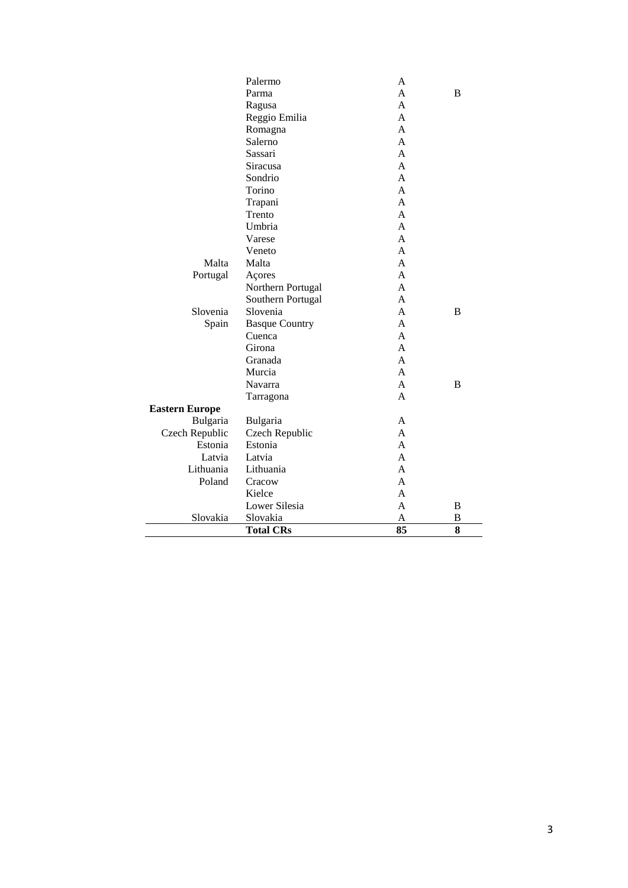|                       | <b>Total CRs</b>      | 85           | 8 |
|-----------------------|-----------------------|--------------|---|
| Slovakia              | Slovakia              | A            | B |
|                       | Lower Silesia         | A            | B |
|                       | Kielce                | A            |   |
| Poland                | Cracow                | A            |   |
| Lithuania             | Lithuania             | A            |   |
| Latvia                | Latvia                | A            |   |
| Estonia               | Estonia               | A            |   |
| Czech Republic        | Czech Republic        | A            |   |
| Bulgaria              | Bulgaria              | A            |   |
| <b>Eastern Europe</b> |                       |              |   |
|                       | Tarragona             | $\mathsf{A}$ |   |
|                       | Navarra               | A            | B |
|                       | Murcia                | A            |   |
|                       | Granada               | A            |   |
|                       | Girona                | A            |   |
|                       | Cuenca                | A            |   |
| Spain                 | <b>Basque Country</b> | A            |   |
| Slovenia              | Slovenia              | A            | B |
|                       | Southern Portugal     | A            |   |
|                       | Northern Portugal     | A            |   |
| Portugal              | Açores                | A            |   |
| Malta                 | Malta                 | A            |   |
|                       | Veneto                | A            |   |
|                       | Varese                | A            |   |
|                       | Umbria                | A            |   |
|                       | Trento                | $\mathsf{A}$ |   |
|                       | Trapani               | $\mathsf{A}$ |   |
|                       | Torino                | $\mathsf{A}$ |   |
|                       | Sondrio               | A            |   |
|                       | <b>Siracusa</b>       | $\mathsf{A}$ |   |
|                       | Sassari               | $\mathsf{A}$ |   |
|                       | Salerno               | A            |   |
|                       | Romagna               | A            |   |
|                       | Reggio Emilia         | A            |   |
|                       | Ragusa                | A            |   |
|                       | Parma                 | A            | B |
|                       | Palermo               | A            |   |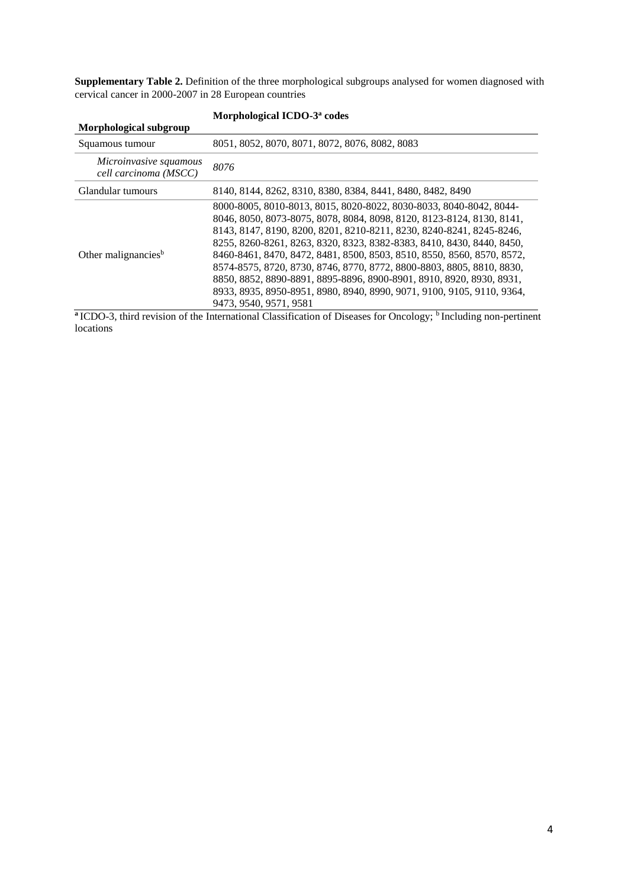**Supplementary Table 2.** Definition of the three morphological subgroups analysed for women diagnosed with cervical cancer in 2000-2007 in 28 European countries

|                                                 | Morphological ICDO-3 <sup>a</sup> codes                                                                                                                                                                                                                                                                                                                                                                                                                                                                                                                                                                                     |
|-------------------------------------------------|-----------------------------------------------------------------------------------------------------------------------------------------------------------------------------------------------------------------------------------------------------------------------------------------------------------------------------------------------------------------------------------------------------------------------------------------------------------------------------------------------------------------------------------------------------------------------------------------------------------------------------|
| Morphological subgroup                          |                                                                                                                                                                                                                                                                                                                                                                                                                                                                                                                                                                                                                             |
| Squamous tumour                                 | 8051, 8052, 8070, 8071, 8072, 8076, 8082, 8083                                                                                                                                                                                                                                                                                                                                                                                                                                                                                                                                                                              |
| Microinvasive squamous<br>cell carcinoma (MSCC) | 8076                                                                                                                                                                                                                                                                                                                                                                                                                                                                                                                                                                                                                        |
| Glandular tumours                               | 8140, 8144, 8262, 8310, 8380, 8384, 8441, 8480, 8482, 8490                                                                                                                                                                                                                                                                                                                                                                                                                                                                                                                                                                  |
| Other malignancies <sup>b</sup>                 | 8000-8005, 8010-8013, 8015, 8020-8022, 8030-8033, 8040-8042, 8044-<br>8046, 8050, 8073-8075, 8078, 8084, 8098, 8120, 8123-8124, 8130, 8141,<br>8143, 8147, 8190, 8200, 8201, 8210-8211, 8230, 8240-8241, 8245-8246,<br>8255, 8260-8261, 8263, 8320, 8323, 8382-8383, 8410, 8430, 8440, 8450,<br>8460-8461, 8470, 8472, 8481, 8500, 8503, 8510, 8550, 8560, 8570, 8572,<br>8574-8575, 8720, 8730, 8746, 8770, 8772, 8800-8803, 8805, 8810, 8830,<br>8850, 8852, 8890-8891, 8895-8896, 8900-8901, 8910, 8920, 8930, 8931,<br>8933, 8935, 8950-8951, 8980, 8940, 8990, 9071, 9100, 9105, 9110, 9364,<br>9473, 9540, 9571, 9581 |

<sup>a</sup> ICDO-3, third revision of the International Classification of Diseases for Oncology; <sup>b</sup> Including non-pertinent locations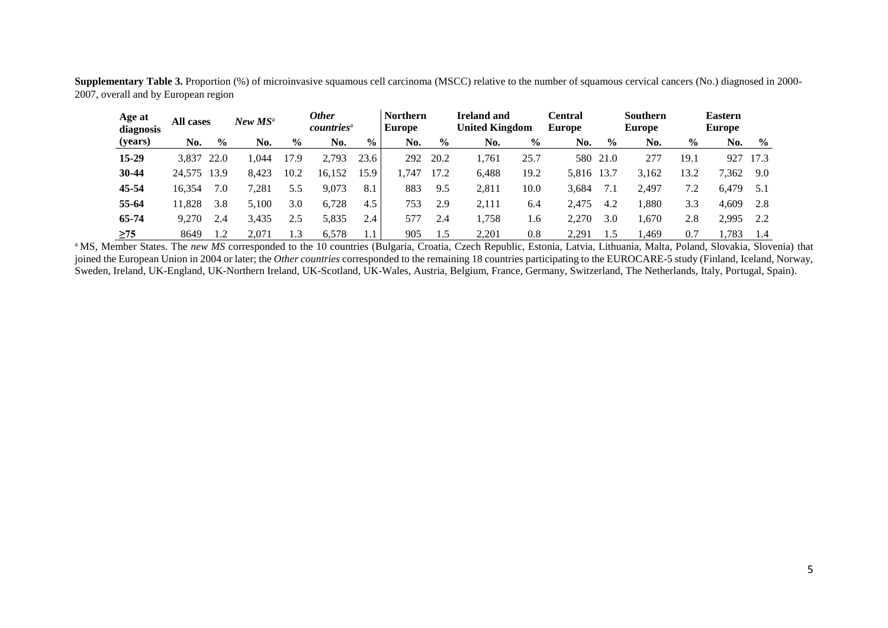|                                      |  |  |  | Supplementary Table 3. Proportion (%) of microinvasive squamous cell carcinoma (MSCC) relative to the number of squamous cervical cancers (No.) diagnosed in 2000- |
|--------------------------------------|--|--|--|--------------------------------------------------------------------------------------------------------------------------------------------------------------------|
| 2007, overall and by European region |  |  |  |                                                                                                                                                                    |

| Age at<br>diagnosis | <b>All cases</b> |               | $New MS^{\rm a}$ |               | 0ther<br>countries <sup>a</sup> |                | <b>Northern</b><br><b>Europe</b> |               | <b>Ireland and</b><br><b>United Kingdom</b> |               | Central<br><b>Europe</b> |               | <b>Southern</b><br><b>Europe</b> |               | <b>Eastern</b><br><b>Europe</b> |               |
|---------------------|------------------|---------------|------------------|---------------|---------------------------------|----------------|----------------------------------|---------------|---------------------------------------------|---------------|--------------------------|---------------|----------------------------------|---------------|---------------------------------|---------------|
| (years)             | No.              | $\frac{6}{9}$ | No.              | $\frac{0}{0}$ | No.                             | $\frac{6}{10}$ | No.                              | $\frac{6}{9}$ | No.                                         | $\frac{6}{9}$ | No.                      | $\frac{6}{9}$ | No.                              | $\frac{6}{6}$ | No.                             | $\frac{0}{0}$ |
| 15-29               | 3.837            | 22.0          | 044. ا           | 17.9          | 2,793                           | 23.6           | 292                              | 20.2          | l.761                                       | 25.7          | 580                      | 21.0          | 277                              | 19.1          | 927                             | 17.3          |
| 30-44               | 24.575           | 13.9          | 8.423            | 10.2          | 16.152                          | 15.9           | .747                             | 17.2          | 6,488                                       | 19.2          | 5,816                    | 13.7          | 3.162                            | 13.2          | 7,362                           | 9.0           |
| 45-54               | 16.354           | 7.0           | 7,281            | 5.5           | 9.073                           | 8.1            | 883                              | 9.5           | 2.811                                       | 10.0          | 3.684                    |               | 2.497                            | 7.2           | 6.479                           | 5.1           |
| 55-64               | 11.828           | 3.8           | 5.100            | 3.0           | 6,728                           | 4.5            | 753                              | 2.9           | 2.111                                       | 6.4           | 2.475                    | 4.2           | .,880                            | 3.3           | 4,609                           | 2.8           |
| 65-74               | 9.270            | 2.4           | 3,435            | 2.5           | 5,835                           | 2.4            | 577                              | 2.4           | ,758                                        | 1.6           | 2.270                    | 3.0           | 1,670                            | 2.8           | 2,995                           | 2.2           |
| $\geq$ 75           | 8649             | 1.2           | 2.071            | $\cdot$ 3     | 6,578                           |                | 905                              | 1.5           | 2.201                                       | 0.8           | 2.291                    | 1.5           | .469                             | 0.7           | ,783                            | 1.4           |

<sup>a</sup> MS, Member States. The *new MS* corresponded to the 10 countries (Bulgaria, Croatia, Czech Republic, Estonia, Latvia, Lithuania, Malta, Poland, Slovakia, Slovenia) that joined the European Union in 2004 or later; the *Other countries* corresponded to the remaining 18 countries participating to the EUROCARE-5 study (Finland, Iceland, Norway, Sweden, Ireland, UK-England, UK-Northern Ireland, UK-Scotland, UK-Wales, Austria, Belgium, France, Germany, Switzerland, The Netherlands, Italy, Portugal, Spain).